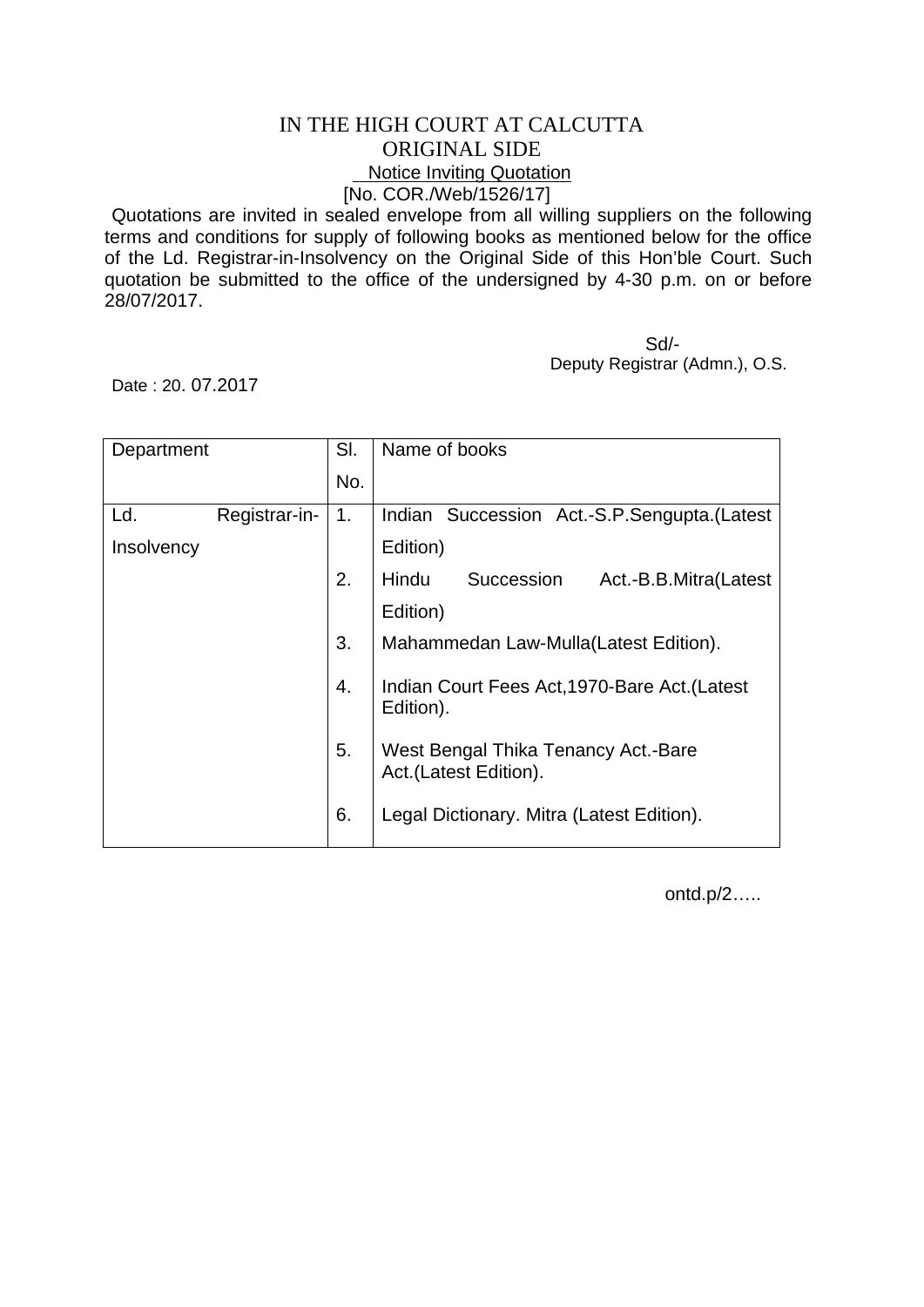## IN THE HIGH COURT AT CALCUTTA ORIGINAL SIDE **Notice Inviting Quotation** [No. COR./Web/1526/17]

Quotations are invited in sealed envelope from all willing suppliers on the following terms and conditions for supply of following books as mentioned below for the office of the Ld. Registrar-in-Insolvency on the Original Side of this Hon'ble Court. Such quotation be submitted to the office of the undersigned by 4-30 p.m. on or before 28/07/2017.

 Sd/- Deputy Registrar (Admn.), O.S.

Date : 20. 07.2017

| Department |               | SI. | Name of books                                                |
|------------|---------------|-----|--------------------------------------------------------------|
|            |               | No. |                                                              |
| Ld.        | Registrar-in- | 1.  | Indian Succession Act.-S.P.Sengupta. (Latest                 |
| Insolvency |               |     | Edition)                                                     |
|            |               | 2.  | Succession<br>Hindu<br>Act.-B.B.Mitra(Latest                 |
|            |               |     | Edition)                                                     |
|            |               | 3.  | Mahammedan Law-Mulla(Latest Edition).                        |
|            |               | 4.  | Indian Court Fees Act, 1970-Bare Act. (Latest<br>Edition).   |
|            |               | 5.  | West Bengal Thika Tenancy Act.-Bare<br>Act.(Latest Edition). |
|            |               | 6.  | Legal Dictionary. Mitra (Latest Edition).                    |

ontd.p/2…..